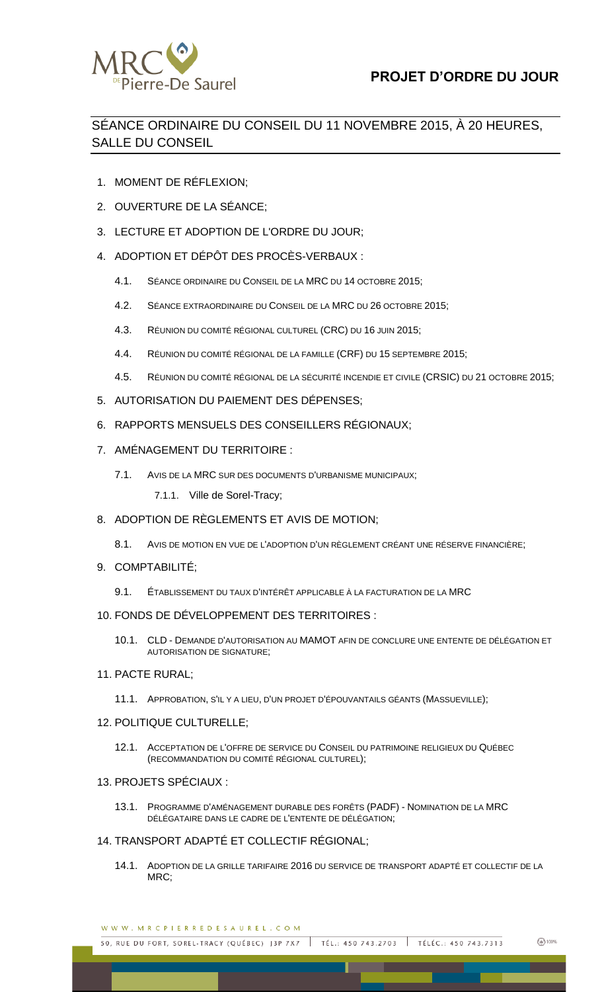

## SÉANCE ORDINAIRE DU CONSEIL DU 11 NOVEMBRE 2015, À 20 HEURES, SALLE DU CONSEIL

- 1. MOMENT DE RÉFLEXION;
- 2. OUVERTURE DE LA SÉANCE;
- 3. LECTURE ET ADOPTION DE L'ORDRE DU JOUR;
- 4. ADOPTION ET DÉPÔT DES PROCÈS-VERBAUX :
	- 4.1. SÉANCE ORDINAIRE DU CONSEIL DE LA MRC DU 14 OCTOBRE 2015;
	- 4.2. SÉANCE EXTRAORDINAIRE DU CONSEIL DE LA MRC DU 26 OCTOBRE 2015;
	- 4.3. RÉUNION DU COMITÉ RÉGIONAL CULTUREL (CRC) DU 16 JUIN 2015;
	- 4.4. RÉUNION DU COMITÉ RÉGIONAL DE LA FAMILLE (CRF) DU 15 SEPTEMBRE 2015;
	- 4.5. RÉUNION DU COMITÉ RÉGIONAL DE LA SÉCURITÉ INCENDIE ET CIVILE (CRSIC) DU 21 OCTOBRE 2015;
- 5. AUTORISATION DU PAIEMENT DES DÉPENSES;
- 6. RAPPORTS MENSUELS DES CONSEILLERS RÉGIONAUX;
- 7. AMÉNAGEMENT DU TERRITOIRE :
	- 7.1. AVIS DE LA MRC SUR DES DOCUMENTS D'URBANISME MUNICIPAUX;
		- 7.1.1. Ville de Sorel-Tracy;
- 8. ADOPTION DE RÈGLEMENTS ET AVIS DE MOTION;
	- 8.1. AVIS DE MOTION EN VUE DE L'ADOPTION D'UN RÈGLEMENT CRÉANT UNE RÉSERVE FINANCIÈRE;
- 9. COMPTABILITÉ;
	- 9.1. ÉTABLISSEMENT DU TAUX D'INTÉRÊT APPLICABLE À LA FACTURATION DE LA MRC
- 10. FONDS DE DÉVELOPPEMENT DES TERRITOIRES :
	- 10.1. CLD DEMANDE D'AUTORISATION AU MAMOT AFIN DE CONCLURE UNE ENTENTE DE DÉLÉGATION ET AUTORISATION DE SIGNATURE;
- 11. PACTE RURAL;
	- 11.1. APPROBATION, S'IL Y A LIEU, D'UN PROJET D'ÉPOUVANTAILS GÉANTS (MASSUEVILLE);
- 12. POLITIQUE CULTURELLE;
	- 12.1. ACCEPTATION DE L'OFFRE DE SERVICE DU CONSEIL DU PATRIMOINE RELIGIEUX DU QUÉBEC (RECOMMANDATION DU COMITÉ RÉGIONAL CULTUREL);
- 13. PROJETS SPÉCIAUX :
	- 13.1. PROGRAMME D'AMÉNAGEMENT DURABLE DES FORÊTS (PADF) NOMINATION DE LA MRC DÉLÉGATAIRE DANS LE CADRE DE L'ENTENTE DE DÉLÉGATION;

## 14. TRANSPORT ADAPTÉ ET COLLECTIF RÉGIONAL;

14.1. ADOPTION DE LA GRILLE TARIFAIRE 2016 DU SERVICE DE TRANSPORT ADAPTÉ ET COLLECTIF DE LA MRC<sup>:</sup>

| WWW.MRCPIERREDESAUREL.COM |  |  |  |  |  |  |  |  |  |  |  |  |  |  |  |
|---------------------------|--|--|--|--|--|--|--|--|--|--|--|--|--|--|--|
|---------------------------|--|--|--|--|--|--|--|--|--|--|--|--|--|--|--|